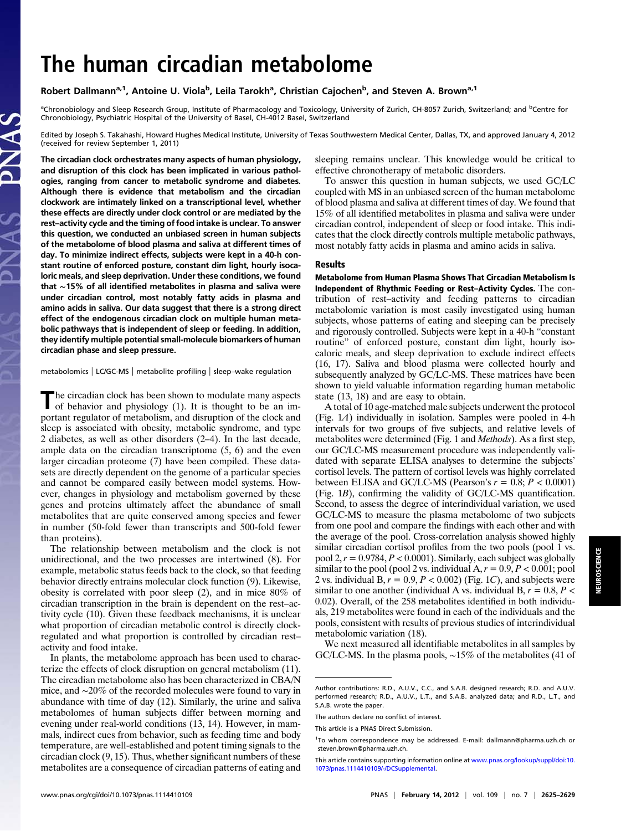## The human circadian metabolome

Robert Dallmann<sup>a, 1</sup>, Antoine U. Viola<sup>b</sup>, Leila Tarokh<sup>a</sup>, Christian Cajochen<sup>b</sup>, and Steven A. Brown<sup>a, 1</sup>

<sup>a</sup>Chronobiology and Sleep Research Group, Institute of Pharmacology and Toxicology, University of Zurich, CH-8057 Zurich, Switzerland; and <sup>b</sup>Centre for Chronobiology, Psychiatric Hospital of the University of Basel, CH-4012 Basel, Switzerland

Edited by Joseph S. Takahashi, Howard Hughes Medical Institute, University of Texas Southwestern Medical Center, Dallas, TX, and approved January 4, 2012 (received for review September 1, 2011)

The circadian clock orchestrates many aspects of human physiology, and disruption of this clock has been implicated in various pathologies, ranging from cancer to metabolic syndrome and diabetes. Although there is evidence that metabolism and the circadian clockwork are intimately linked on a transcriptional level, whether these effects are directly under clock control or are mediated by the rest–activity cycle and the timing of food intake is unclear. To answer this question, we conducted an unbiased screen in human subjects of the metabolome of blood plasma and saliva at different times of day. To minimize indirect effects, subjects were kept in a 40-h constant routine of enforced posture, constant dim light, hourly isocaloric meals, and sleep deprivation. Under these conditions, we found that ∼15% of all identified metabolites in plasma and saliva were under circadian control, most notably fatty acids in plasma and amino acids in saliva. Our data suggest that there is a strong direct effect of the endogenous circadian clock on multiple human metabolic pathways that is independent of sleep or feeding. In addition, they identify multiple potential small-molecule biomarkers of human circadian phase and sleep pressure.

metabolomics | LC/GC-MS | metabolite profiling | sleep–wake regulation

The circadian clock has been shown to modulate many aspects<br>of behavior and physicles: (1) of behavior and physiology (1). It is thought to be an important regulator of metabolism, and disruption of the clock and sleep is associated with obesity, metabolic syndrome, and type 2 diabetes, as well as other disorders (2–4). In the last decade, ample data on the circadian transcriptome (5, 6) and the even larger circadian proteome (7) have been compiled. These datasets are directly dependent on the genome of a particular species and cannot be compared easily between model systems. However, changes in physiology and metabolism governed by these genes and proteins ultimately affect the abundance of small metabolites that are quite conserved among species and fewer in number (50-fold fewer than transcripts and 500-fold fewer than proteins).

The relationship between metabolism and the clock is not unidirectional, and the two processes are intertwined (8). For example, metabolic status feeds back to the clock, so that feeding behavior directly entrains molecular clock function (9). Likewise, obesity is correlated with poor sleep (2), and in mice 80% of circadian transcription in the brain is dependent on the rest–activity cycle (10). Given these feedback mechanisms, it is unclear what proportion of circadian metabolic control is directly clockregulated and what proportion is controlled by circadian rest– activity and food intake.

In plants, the metabolome approach has been used to characterize the effects of clock disruption on general metabolism (11). The circadian metabolome also has been characterized in CBA/N mice, and ∼20% of the recorded molecules were found to vary in abundance with time of day (12). Similarly, the urine and saliva metabolomes of human subjects differ between morning and evening under real-world conditions (13, 14). However, in mammals, indirect cues from behavior, such as feeding time and body temperature, are well-established and potent timing signals to the circadian clock (9, 15). Thus, whether significant numbers of these metabolites are a consequence of circadian patterns of eating and sleeping remains unclear. This knowledge would be critical to effective chronotherapy of metabolic disorders.

To answer this question in human subjects, we used GC/LC coupled with MS in an unbiased screen of the human metabolome of blood plasma and saliva at different times of day. We found that 15% of all identified metabolites in plasma and saliva were under circadian control, independent of sleep or food intake. This indicates that the clock directly controls multiple metabolic pathways, most notably fatty acids in plasma and amino acids in saliva.

## Results

Metabolome from Human Plasma Shows That Circadian Metabolism Is Independent of Rhythmic Feeding or Rest–Activity Cycles. The contribution of rest–activity and feeding patterns to circadian metabolomic variation is most easily investigated using human subjects, whose patterns of eating and sleeping can be precisely and rigorously controlled. Subjects were kept in a 40-h "constant routine" of enforced posture, constant dim light, hourly isocaloric meals, and sleep deprivation to exclude indirect effects (16, 17). Saliva and blood plasma were collected hourly and subsequently analyzed by GC/LC-MS. These matrices have been shown to yield valuable information regarding human metabolic state (13, 18) and are easy to obtain.

A total of 10 age-matched male subjects underwent the protocol (Fig. 1A) individually in isolation. Samples were pooled in 4-h intervals for two groups of five subjects, and relative levels of metabolites were determined (Fig. 1 and Methods). As a first step, our GC/LC-MS measurement procedure was independently validated with separate ELISA analyses to determine the subjects' cortisol levels. The pattern of cortisol levels was highly correlated between ELISA and GC/LC-MS (Pearson's  $r = 0.8; P < 0.0001$ ) (Fig. 1B), confirming the validity of GC/LC-MS quantification. Second, to assess the degree of interindividual variation, we used GC/LC-MS to measure the plasma metabolome of two subjects from one pool and compare the findings with each other and with the average of the pool. Cross-correlation analysis showed highly similar circadian cortisol profiles from the two pools (pool 1 vs. pool 2,  $r = 0.9784$ ,  $P < 0.0001$ ). Similarly, each subject was globally similar to the pool (pool 2 vs. individual A,  $r = 0.9$ ,  $P < 0.001$ ; pool 2 vs. individual B,  $r = 0.9$ ,  $P < 0.002$ ) (Fig. 1C), and subjects were similar to one another (individual A vs. individual B,  $r = 0.8$ ,  $P <$ 0.02). Overall, of the 258 metabolites identified in both individuals, 219 metabolites were found in each of the individuals and the pools, consistent with results of previous studies of interindividual metabolomic variation (18).

We next measured all identifiable metabolites in all samples by GC/LC-MS. In the plasma pools, ∼15% of the metabolites (41 of

Author contributions: R.D., A.U.V., C.C., and S.A.B. designed research; R.D. and A.U.V. performed research; R.D., A.U.V., L.T., and S.A.B. analyzed data; and R.D., L.T., and S.A.B. wrote the paper.

The authors declare no conflict of interest.

This article is a PNAS Direct Submission.

<sup>1</sup> To whom correspondence may be addressed. E-mail: [dallmann@pharma.uzh.ch](mailto:dallmann@pharma.uzh.ch) or [steven.brown@pharma.uzh.ch.](mailto:<?tjl=20mm?><?tjl?>steven.brown@pharma.uzh.ch)

This article contains supporting information online at [www.pnas.org/lookup/suppl/doi:10.](http://www.pnas.org/lookup/suppl/doi:10.1073/pnas.1114410109/-/DCSupplemental) [1073/pnas.1114410109/-/DCSupplemental](http://www.pnas.org/lookup/suppl/doi:10.1073/pnas.1114410109/-/DCSupplemental).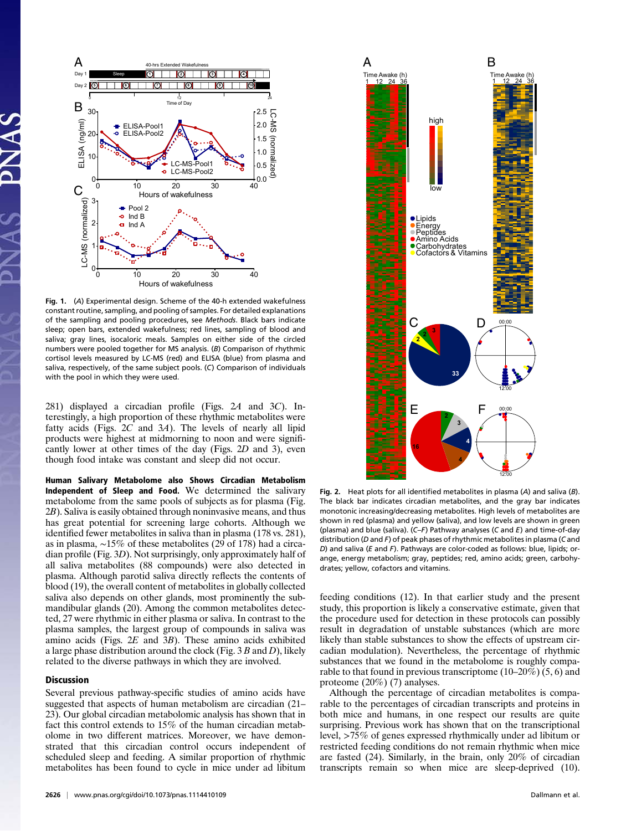

Fig. 1. (A) Experimental design. Scheme of the 40-h extended wakefulness constant routine, sampling, and pooling of samples. For detailed explanations of the sampling and pooling procedures, see Methods. Black bars indicate sleep; open bars, extended wakefulness; red lines, sampling of blood and saliva; gray lines, isocaloric meals. Samples on either side of the circled numbers were pooled together for MS analysis. (B) Comparison of rhythmic cortisol levels measured by LC-MS (red) and ELISA (blue) from plasma and saliva, respectively, of the same subject pools. (C) Comparison of individuals with the pool in which they were used. **<sup>33</sup>**

281) displayed a circadian profile (Figs. 2A and 3C). Interestingly, a high proportion of these rhythmic metabolites were fatty acids (Figs.  $2C$  and  $3A$ ). The levels of nearly all lipid products were highest at midmorning to noon and were significantly lower at other times of the day (Figs. 2D and 3), even though food intake was constant and sleep did not occur.

Human Salivary Metabolome also Shows Circadian Metabolism Independent of Sleep and Food. We determined the salivary metabolome from the same pools of subjects as for plasma (Fig. 2B). Saliva is easily obtained through noninvasive means, and thus has great potential for screening large cohorts. Although we identified fewer metabolites in saliva than in plasma (178 vs. 281), as in plasma, ∼15% of these metabolites (29 of 178) had a circadian profile (Fig. 3D). Not surprisingly, only approximately half of all saliva metabolites (88 compounds) were also detected in plasma. Although parotid saliva directly reflects the contents of blood (19), the overall content of metabolites in globally collected saliva also depends on other glands, most prominently the submandibular glands (20). Among the common metabolites detected, 27 were rhythmic in either plasma or saliva. In contrast to the plasma samples, the largest group of compounds in saliva was amino acids (Figs.  $2E$  and  $3B$ ). These amino acids exhibited a large phase distribution around the clock (Fig.  $3B$  and D), likely related to the diverse pathways in which they are involved.

## Discussion

Several previous pathway-specific studies of amino acids have suggested that aspects of human metabolism are circadian (21– 23). Our global circadian metabolomic analysis has shown that in fact this control extends to 15% of the human circadian metabolome in two different matrices. Moreover, we have demonstrated that this circadian control occurs independent of scheduled sleep and feeding. A similar proportion of rhythmic metabolites has been found to cycle in mice under ad libitum



Fig. 2. Heat plots for all identified metabolites in plasma (A) and saliva (B). The black bar indicates circadian metabolites, and the gray bar indicates monotonic increasing/decreasing metabolites. High levels of metabolites are shown in red (plasma) and yellow (saliva), and low levels are shown in green (plasma) and blue (saliva).  $(C-F)$  Pathway analyses (C and E) and time-of-day distribution (D and F) of peak phases of rhythmic metabolites in plasma (C and D) and saliva (E and F). Pathways are color-coded as follows: blue, lipids; orange, energy metabolism; gray, peptides; red, amino acids; green, carbohydrates; yellow, cofactors and vitamins.

feeding conditions (12). In that earlier study and the present study, this proportion is likely a conservative estimate, given that the procedure used for detection in these protocols can possibly result in degradation of unstable substances (which are more likely than stable substances to show the effects of upstream circadian modulation). Nevertheless, the percentage of rhythmic substances that we found in the metabolome is roughly comparable to that found in previous transcriptome (10–20%) (5, 6) and proteome (20%) (7) analyses.

Although the percentage of circadian metabolites is comparable to the percentages of circadian transcripts and proteins in both mice and humans, in one respect our results are quite surprising. Previous work has shown that on the transcriptional level, >75% of genes expressed rhythmically under ad libitum or restricted feeding conditions do not remain rhythmic when mice are fasted (24). Similarly, in the brain, only 20% of circadian transcripts remain so when mice are sleep-deprived (10).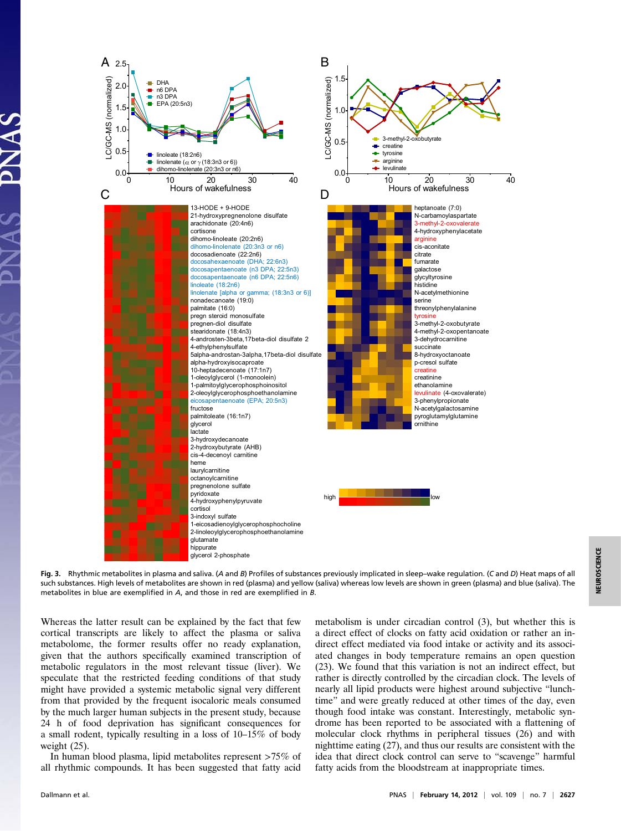

Fig. 3. Rhythmic metabolites in plasma and saliva. (A and B) Profiles of substances previously implicated in sleep–wake requlation. (C and D) Heat maps of all such substances. High levels of metabolites are shown in red (plasma) and yellow (saliva) whereas low levels are shown in green (plasma) and blue (saliva). The metabolites in blue are exemplified in A, and those in red are exemplified in B.

Whereas the latter result can be explained by the fact that few cortical transcripts are likely to affect the plasma or saliva metabolome, the former results offer no ready explanation, given that the authors specifically examined transcription of metabolic regulators in the most relevant tissue (liver). We speculate that the restricted feeding conditions of that study might have provided a systemic metabolic signal very different from that provided by the frequent isocaloric meals consumed by the much larger human subjects in the present study, because 24 h of food deprivation has significant consequences for a small rodent, typically resulting in a loss of 10–15% of body weight (25).

In human blood plasma, lipid metabolites represent >75% of all rhythmic compounds. It has been suggested that fatty acid

metabolism is under circadian control (3), but whether this is a direct effect of clocks on fatty acid oxidation or rather an indirect effect mediated via food intake or activity and its associated changes in body temperature remains an open question (23). We found that this variation is not an indirect effect, but rather is directly controlled by the circadian clock. The levels of nearly all lipid products were highest around subjective "lunchtime" and were greatly reduced at other times of the day, even though food intake was constant. Interestingly, metabolic syndrome has been reported to be associated with a flattening of molecular clock rhythms in peripheral tissues (26) and with nighttime eating (27), and thus our results are consistent with the idea that direct clock control can serve to "scavenge" harmful fatty acids from the bloodstream at inappropriate times.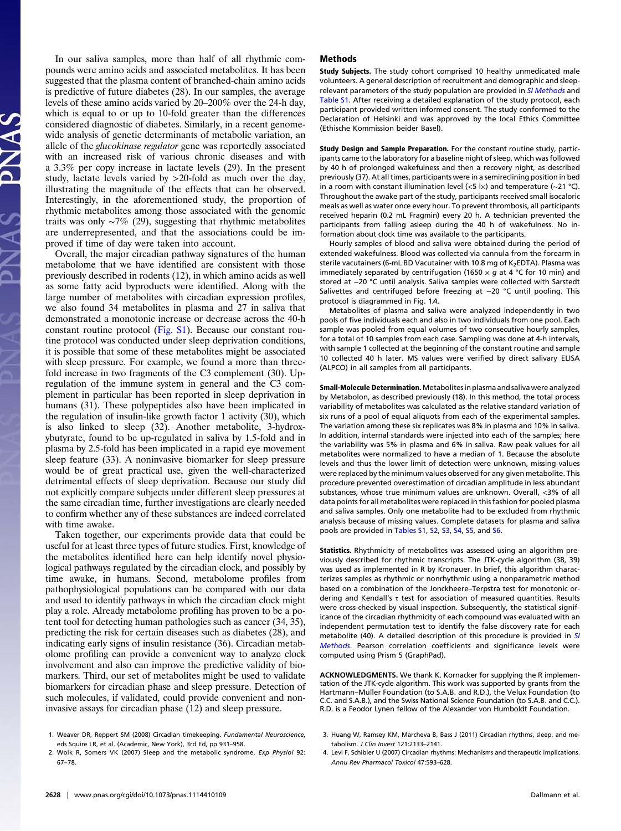In our saliva samples, more than half of all rhythmic compounds were amino acids and associated metabolites. It has been suggested that the plasma content of branched-chain amino acids is predictive of future diabetes (28). In our samples, the average levels of these amino acids varied by 20–200% over the 24-h day, which is equal to or up to 10-fold greater than the differences considered diagnostic of diabetes. Similarly, in a recent genomewide analysis of genetic determinants of metabolic variation, an allele of the glucokinase regulator gene was reportedly associated with an increased risk of various chronic diseases and with a 3.3% per copy increase in lactate levels (29). In the present study, lactate levels varied by >20-fold as much over the day, illustrating the magnitude of the effects that can be observed. Interestingly, in the aforementioned study, the proportion of rhythmic metabolites among those associated with the genomic traits was only  $~\sim$ 7% (29), suggesting that rhythmic metabolites are underrepresented, and that the associations could be improved if time of day were taken into account.

Overall, the major circadian pathway signatures of the human metabolome that we have identified are consistent with those previously described in rodents (12), in which amino acids as well as some fatty acid byproducts were identified. Along with the large number of metabolites with circadian expression profiles, we also found 34 metabolites in plasma and 27 in saliva that demonstrated a monotonic increase or decrease across the 40-h constant routine protocol [\(Fig. S1\)](http://www.pnas.org/lookup/suppl/doi:10.1073/pnas.1114410109/-/DCSupplemental/pnas.201114410SI.pdf?targetid=nameddest=SF1). Because our constant routine protocol was conducted under sleep deprivation conditions, it is possible that some of these metabolites might be associated with sleep pressure. For example, we found a more than threefold increase in two fragments of the C3 complement (30). Upregulation of the immune system in general and the C3 complement in particular has been reported in sleep deprivation in humans (31). These polypeptides also have been implicated in the regulation of insulin-like growth factor 1 activity (30), which is also linked to sleep (32). Another metabolite, 3-hydroxybutyrate, found to be up-regulated in saliva by 1.5-fold and in plasma by 2.5-fold has been implicated in a rapid eye movement sleep feature (33). A noninvasive biomarker for sleep pressure would be of great practical use, given the well-characterized detrimental effects of sleep deprivation. Because our study did not explicitly compare subjects under different sleep pressures at the same circadian time, further investigations are clearly needed to confirm whether any of these substances are indeed correlated with time awake.

Taken together, our experiments provide data that could be useful for at least three types of future studies. First, knowledge of the metabolites identified here can help identify novel physiological pathways regulated by the circadian clock, and possibly by time awake, in humans. Second, metabolome profiles from pathophysiological populations can be compared with our data and used to identify pathways in which the circadian clock might play a role. Already metabolome profiling has proven to be a potent tool for detecting human pathologies such as cancer (34, 35), predicting the risk for certain diseases such as diabetes (28), and indicating early signs of insulin resistance (36). Circadian metabolome profiling can provide a convenient way to analyze clock involvement and also can improve the predictive validity of biomarkers. Third, our set of metabolites might be used to validate biomarkers for circadian phase and sleep pressure. Detection of such molecules, if validated, could provide convenient and noninvasive assays for circadian phase (12) and sleep pressure.

## Methods

Study Subjects. The study cohort comprised 10 healthy unmedicated male volunteers. A general description of recruitment and demographic and sleep-relevant parameters of the study population are provided in [SI Methods](http://www.pnas.org/lookup/suppl/doi:10.1073/pnas.1114410109/-/DCSupplemental/pnas.201114410SI.pdf?targetid=nameddest=STXT) and [Table S1.](http://www.pnas.org/lookup/suppl/doi:10.1073/pnas.1114410109/-/DCSupplemental/st01.docx) After receiving a detailed explanation of the study protocol, each participant provided written informed consent. The study conformed to the Declaration of Helsinki and was approved by the local Ethics Committee (Ethische Kommission beider Basel).

Study Design and Sample Preparation. For the constant routine study, participants came to the laboratory for a baseline night of sleep, which was followed by 40 h of prolonged wakefulness and then a recovery night, as described previously (37). At all times, participants were in a semireclining position in bed in a room with constant illumination level (<5 l×) and temperature (∼21 °C). Throughout the awake part of the study, participants received small isocaloric meals as well as water once every hour. To prevent thrombosis, all participants received heparin (0.2 mL Fragmin) every 20 h. A technician prevented the participants from falling asleep during the 40 h of wakefulness. No information about clock time was available to the participants.

Hourly samples of blood and saliva were obtained during the period of extended wakefulness. Blood was collected via cannula from the forearm in sterile vacutainers (6-mL BD Vacutainer with 10.8 mg of  $K_2$ EDTA). Plasma was immediately separated by centrifugation (1650  $\times$  g at 4 °C for 10 min) and stored at −20 °C until analysis. Saliva samples were collected with Sarstedt Salivettes and centrifuged before freezing at −20 °C until pooling. This protocol is diagrammed in Fig. 1A.

Metabolites of plasma and saliva were analyzed independently in two pools of five individuals each and also in two individuals from one pool. Each sample was pooled from equal volumes of two consecutive hourly samples, for a total of 10 samples from each case. Sampling was done at 4-h intervals, with sample 1 collected at the beginning of the constant routine and sample 10 collected 40 h later. MS values were verified by direct salivary ELISA (ALPCO) in all samples from all participants.

Small-Molecule Determination. Metabolites in plasma and saliva were analyzed by Metabolon, as described previously (18). In this method, the total process variability of metabolites was calculated as the relative standard variation of six runs of a pool of equal aliquots from each of the experimental samples. The variation among these six replicates was 8% in plasma and 10% in saliva. In addition, internal standards were injected into each of the samples; here the variability was 5% in plasma and 6% in saliva. Raw peak values for all metabolites were normalized to have a median of 1. Because the absolute levels and thus the lower limit of detection were unknown, missing values were replaced by the minimum values observed for any given metabolite. This procedure prevented overestimation of circadian amplitude in less abundant substances, whose true minimum values are unknown. Overall, <3% of all data points for all metabolites were replaced in this fashion for pooled plasma and saliva samples. Only one metabolite had to be excluded from rhythmic analysis because of missing values. Complete datasets for plasma and saliva pools are provided in [Tables S1](http://www.pnas.org/lookup/suppl/doi:10.1073/pnas.1114410109/-/DCSupplemental/st01.docx), [S2,](http://www.pnas.org/lookup/suppl/doi:10.1073/pnas.1114410109/-/DCSupplemental/st02.docx) [S3,](http://www.pnas.org/lookup/suppl/doi:10.1073/pnas.1114410109/-/DCSupplemental/st03.docx) [S4](http://www.pnas.org/lookup/suppl/doi:10.1073/pnas.1114410109/-/DCSupplemental/st04.docx), [S5](http://www.pnas.org/lookup/suppl/doi:10.1073/pnas.1114410109/-/DCSupplemental/st05.docx), and [S6.](http://www.pnas.org/lookup/suppl/doi:10.1073/pnas.1114410109/-/DCSupplemental/st06.docx)

Statistics. Rhythmicity of metabolites was assessed using an algorithm previously described for rhythmic transcripts. The JTK-cycle algorithm (38, 39) was used as implemented in R by Kronauer. In brief, this algorithm characterizes samples as rhythmic or nonrhythmic using a nonparametric method based on a combination of the Jonckheere–Terpstra test for monotonic ordering and Kendall's  $\tau$  test for association of measured quantities. Results were cross-checked by visual inspection. Subsequently, the statistical significance of the circadian rhythmicity of each compound was evaluated with an independent permutation test to identify the false discovery rate for each metabolite (40). A detailed description of this procedure is provided in [SI](http://www.pnas.org/lookup/suppl/doi:10.1073/pnas.1114410109/-/DCSupplemental/pnas.201114410SI.pdf?targetid=nameddest=STXT) [Methods](http://www.pnas.org/lookup/suppl/doi:10.1073/pnas.1114410109/-/DCSupplemental/pnas.201114410SI.pdf?targetid=nameddest=STXT). Pearson correlation coefficients and significance levels were computed using Prism 5 (GraphPad).

ACKNOWLEDGMENTS. We thank K. Kornacker for supplying the R implementation of the JTK-cycle algorithm. This work was supported by grants from the Hartmann–Müller Foundation (to S.A.B. and R.D.), the Velux Foundation (to C.C. and S.A.B.), and the Swiss National Science Foundation (to S.A.B. and C.C.). R.D. is a Feodor Lynen fellow of the Alexander von Humboldt Foundation.

- 1. Weaver DR, Reppert SM (2008) Circadian timekeeping. Fundamental Neuroscience, eds Squire LR, et al. (Academic, New York), 3rd Ed, pp 931–958.
- 2. Wolk R, Somers VK (2007) Sleep and the metabolic syndrome. Exp Physiol 92: 67–78.
- 3. Huang W, Ramsey KM, Marcheva B, Bass J (2011) Circadian rhythms, sleep, and metabolism. J Clin Invest 121:2133–2141.
- 4. Levi F, Schibler U (2007) Circadian rhythms: Mechanisms and therapeutic implications. Annu Rev Pharmacol Toxicol 47:593–628.